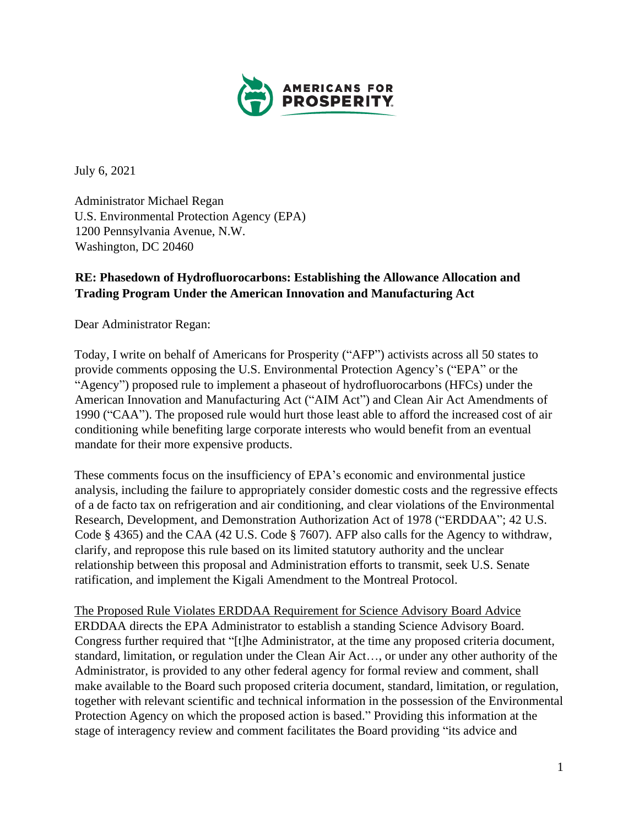

July 6, 2021

Administrator Michael Regan U.S. Environmental Protection Agency (EPA) 1200 Pennsylvania Avenue, N.W. Washington, DC 20460

## **RE: Phasedown of Hydrofluorocarbons: Establishing the Allowance Allocation and Trading Program Under the American Innovation and Manufacturing Act**

Dear Administrator Regan:

Today, I write on behalf of Americans for Prosperity ("AFP") activists across all 50 states to provide comments opposing the U.S. Environmental Protection Agency's ("EPA" or the "Agency") proposed rule to implement a phaseout of hydrofluorocarbons (HFCs) under the American Innovation and Manufacturing Act ("AIM Act") and Clean Air Act Amendments of 1990 ("CAA"). The proposed rule would hurt those least able to afford the increased cost of air conditioning while benefiting large corporate interests who would benefit from an eventual mandate for their more expensive products.

These comments focus on the insufficiency of EPA's economic and environmental justice analysis, including the failure to appropriately consider domestic costs and the regressive effects of a de facto tax on refrigeration and air conditioning, and clear violations of the Environmental Research, Development, and Demonstration Authorization Act of 1978 ("ERDDAA"; 42 U.S. Code § 4365) and the CAA (42 U.S. Code § 7607). AFP also calls for the Agency to withdraw, clarify, and repropose this rule based on its limited statutory authority and the unclear relationship between this proposal and Administration efforts to transmit, seek U.S. Senate ratification, and implement the Kigali Amendment to the Montreal Protocol.

The Proposed Rule Violates ERDDAA Requirement for Science Advisory Board Advice ERDDAA directs the EPA Administrator to establish a standing Science Advisory Board. Congress further required that "[t]he Administrator, at the time any proposed criteria document, standard, limitation, or regulation under the Clean Air Act…, or under any other authority of the Administrator, is provided to any other federal agency for formal review and comment, shall make available to the Board such proposed criteria document, standard, limitation, or regulation, together with relevant scientific and technical information in the possession of the Environmental Protection Agency on which the proposed action is based." Providing this information at the stage of interagency review and comment facilitates the Board providing "its advice and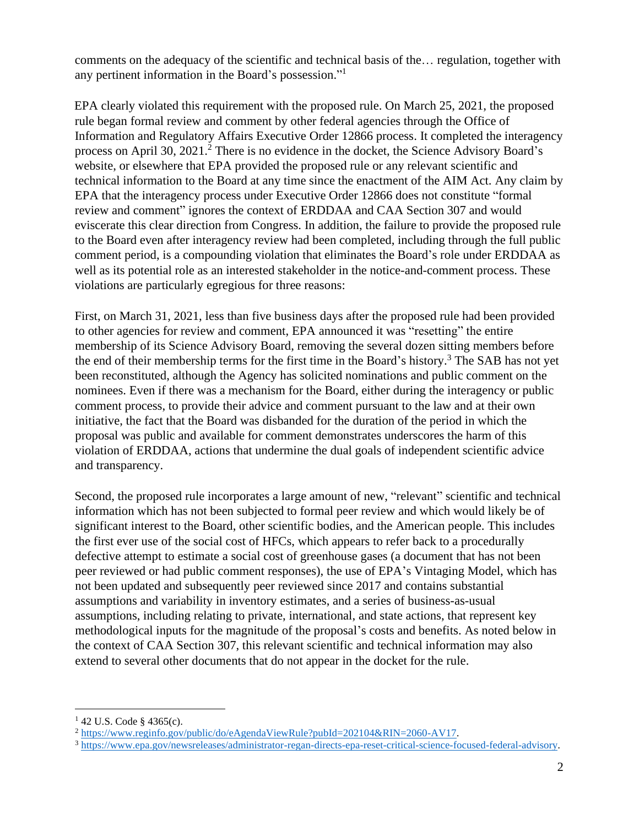comments on the adequacy of the scientific and technical basis of the… regulation, together with any pertinent information in the Board's possession."<sup>1</sup>

EPA clearly violated this requirement with the proposed rule. On March 25, 2021, the proposed rule began formal review and comment by other federal agencies through the Office of Information and Regulatory Affairs Executive Order 12866 process. It completed the interagency process on April 30,  $2021<sup>2</sup>$  There is no evidence in the docket, the Science Advisory Board's website, or elsewhere that EPA provided the proposed rule or any relevant scientific and technical information to the Board at any time since the enactment of the AIM Act. Any claim by EPA that the interagency process under Executive Order 12866 does not constitute "formal review and comment" ignores the context of ERDDAA and CAA Section 307 and would eviscerate this clear direction from Congress. In addition, the failure to provide the proposed rule to the Board even after interagency review had been completed, including through the full public comment period, is a compounding violation that eliminates the Board's role under ERDDAA as well as its potential role as an interested stakeholder in the notice-and-comment process. These violations are particularly egregious for three reasons:

First, on March 31, 2021, less than five business days after the proposed rule had been provided to other agencies for review and comment, EPA announced it was "resetting" the entire membership of its Science Advisory Board, removing the several dozen sitting members before the end of their membership terms for the first time in the Board's history. <sup>3</sup> The SAB has not yet been reconstituted, although the Agency has solicited nominations and public comment on the nominees. Even if there was a mechanism for the Board, either during the interagency or public comment process, to provide their advice and comment pursuant to the law and at their own initiative, the fact that the Board was disbanded for the duration of the period in which the proposal was public and available for comment demonstrates underscores the harm of this violation of ERDDAA, actions that undermine the dual goals of independent scientific advice and transparency.

Second, the proposed rule incorporates a large amount of new, "relevant" scientific and technical information which has not been subjected to formal peer review and which would likely be of significant interest to the Board, other scientific bodies, and the American people. This includes the first ever use of the social cost of HFCs, which appears to refer back to a procedurally defective attempt to estimate a social cost of greenhouse gases (a document that has not been peer reviewed or had public comment responses), the use of EPA's Vintaging Model, which has not been updated and subsequently peer reviewed since 2017 and contains substantial assumptions and variability in inventory estimates, and a series of business-as-usual assumptions, including relating to private, international, and state actions, that represent key methodological inputs for the magnitude of the proposal's costs and benefits. As noted below in the context of CAA Section 307, this relevant scientific and technical information may also extend to several other documents that do not appear in the docket for the rule.

 $142$  U.S. Code § 4365(c).

<sup>2</sup> [https://www.reginfo.gov/public/do/eAgendaViewRule?pubId=202104&RIN=2060-AV17.](https://www.reginfo.gov/public/do/eAgendaViewRule?pubId=202104&RIN=2060-AV17) 

<sup>3</sup> [https://www.epa.gov/newsreleases/administrator-regan-directs-epa-reset-critical-science-focused-federal-advisory.](https://www.epa.gov/newsreleases/administrator-regan-directs-epa-reset-critical-science-focused-federal-advisory)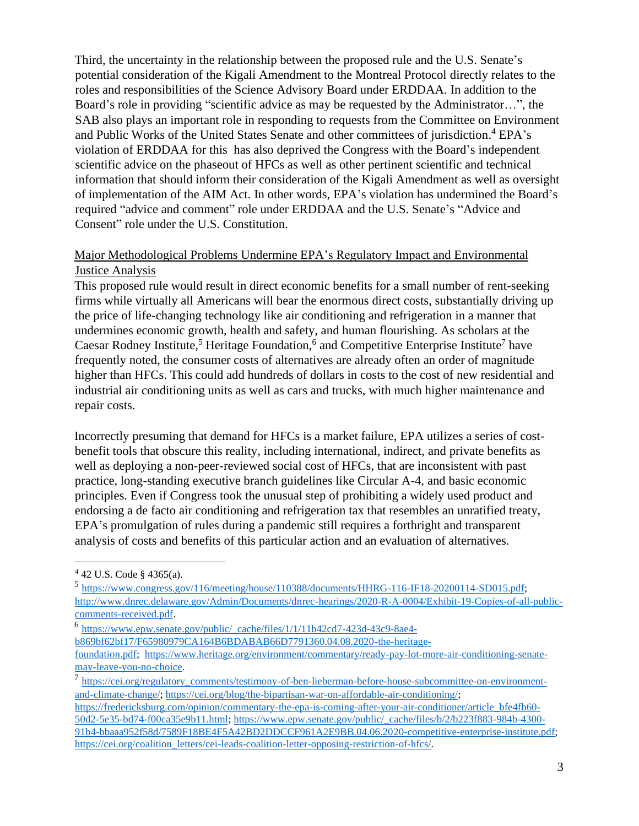Third, the uncertainty in the relationship between the proposed rule and the U.S. Senate's potential consideration of the Kigali Amendment to the Montreal Protocol directly relates to the roles and responsibilities of the Science Advisory Board under ERDDAA. In addition to the Board's role in providing "scientific advice as may be requested by the Administrator…", the SAB also plays an important role in responding to requests from the Committee on Environment and Public Works of the United States Senate and other committees of jurisdiction. <sup>4</sup> EPA's violation of ERDDAA for this has also deprived the Congress with the Board's independent scientific advice on the phaseout of HFCs as well as other pertinent scientific and technical information that should inform their consideration of the Kigali Amendment as well as oversight of implementation of the AIM Act. In other words, EPA's violation has undermined the Board's required "advice and comment" role under ERDDAA and the U.S. Senate's "Advice and Consent" role under the U.S. Constitution.

## Major Methodological Problems Undermine EPA's Regulatory Impact and Environmental Justice Analysis

This proposed rule would result in direct economic benefits for a small number of rent-seeking firms while virtually all Americans will bear the enormous direct costs, substantially driving up the price of life-changing technology like air conditioning and refrigeration in a manner that undermines economic growth, health and safety, and human flourishing. As scholars at the Caesar Rodney Institute,<sup>5</sup> Heritage Foundation,<sup>6</sup> and Competitive Enterprise Institute<sup>7</sup> have frequently noted, the consumer costs of alternatives are already often an order of magnitude higher than HFCs. This could add hundreds of dollars in costs to the cost of new residential and industrial air conditioning units as well as cars and trucks, with much higher maintenance and repair costs.

Incorrectly presuming that demand for HFCs is a market failure, EPA utilizes a series of costbenefit tools that obscure this reality, including international, indirect, and private benefits as well as deploying a non-peer-reviewed social cost of HFCs, that are inconsistent with past practice, long-standing executive branch guidelines like Circular A-4, and basic economic principles. Even if Congress took the unusual step of prohibiting a widely used product and endorsing a de facto air conditioning and refrigeration tax that resembles an unratified treaty, EPA's promulgation of rules during a pandemic still requires a forthright and transparent analysis of costs and benefits of this particular action and an evaluation of alternatives.

<sup>4</sup> 42 U.S. Code § 4365(a).

<sup>&</sup>lt;sup>5</sup> [https://www.congress.gov/116/meeting/house/110388/documents/HHRG-116-IF18-20200114-SD015.pdf;](https://www.congress.gov/116/meeting/house/110388/documents/HHRG-116-IF18-20200114-SD015.pdf) [http://www.dnrec.delaware.gov/Admin/Documents/dnrec-hearings/2020-R-A-0004/Exhibit-19-Copies-of-all-public](http://www.dnrec.delaware.gov/Admin/Documents/dnrec-hearings/2020-R-A-0004/Exhibit-19-Copies-of-all-public-comments-received.pdf)[comments-received.pdf.](http://www.dnrec.delaware.gov/Admin/Documents/dnrec-hearings/2020-R-A-0004/Exhibit-19-Copies-of-all-public-comments-received.pdf)

<sup>6</sup> [https://www.epw.senate.gov/public/\\_cache/files/1/1/11b42cd7-423d-43c9-8ae4](https://www.epw.senate.gov/public/_cache/files/1/1/11b42cd7-423d-43c9-8ae4-b869bf62bf17/F65980979CA164B6BDABAB66D7791360.04.08.2020-the-heritage-foundation.pdf) [b869bf62bf17/F65980979CA164B6BDABAB66D7791360.04.08.2020-the-heritage-](https://www.epw.senate.gov/public/_cache/files/1/1/11b42cd7-423d-43c9-8ae4-b869bf62bf17/F65980979CA164B6BDABAB66D7791360.04.08.2020-the-heritage-foundation.pdf)

[foundation.pdf;](https://www.epw.senate.gov/public/_cache/files/1/1/11b42cd7-423d-43c9-8ae4-b869bf62bf17/F65980979CA164B6BDABAB66D7791360.04.08.2020-the-heritage-foundation.pdf) [https://www.heritage.org/environment/commentary/ready-pay-lot-more-air-conditioning-senate](https://www.heritage.org/environment/commentary/ready-pay-lot-more-air-conditioning-senate-may-leave-you-no-choice)[may-leave-you-no-choice.](https://www.heritage.org/environment/commentary/ready-pay-lot-more-air-conditioning-senate-may-leave-you-no-choice)

<sup>7</sup> [https://cei.org/regulatory\\_comments/testimony-of-ben-lieberman-before-house-subcommittee-on-environment](https://cei.org/regulatory_comments/testimony-of-ben-lieberman-before-house-subcommittee-on-environment-and-climate-change/)[and-climate-change/;](https://cei.org/regulatory_comments/testimony-of-ben-lieberman-before-house-subcommittee-on-environment-and-climate-change/) [https://cei.org/blog/the-bipartisan-war-on-affordable-air-conditioning/;](https://cei.org/blog/the-bipartisan-war-on-affordable-air-conditioning/)

[https://fredericksburg.com/opinion/commentary-the-epa-is-coming-after-your-air-conditioner/article\\_bfe4fb60-](https://fredericksburg.com/opinion/commentary-the-epa-is-coming-after-your-air-conditioner/article_bfe4fb60-50d2-5e35-bd74-f00ca35e9b11.html) [50d2-5e35-bd74-f00ca35e9b11.html;](https://fredericksburg.com/opinion/commentary-the-epa-is-coming-after-your-air-conditioner/article_bfe4fb60-50d2-5e35-bd74-f00ca35e9b11.html) [https://www.epw.senate.gov/public/\\_cache/files/b/2/b223f883-984b-4300-](https://www.epw.senate.gov/public/_cache/files/b/2/b223f883-984b-4300-91b4-bbaaa952f58d/7589F18BE4F5A42BD2DDCCF961A2E9BB.04.06.2020-competitive-enterprise-institute.pdf) [91b4-bbaaa952f58d/7589F18BE4F5A42BD2DDCCF961A2E9BB.04.06.2020-competitive-enterprise-institute.pdf;](https://www.epw.senate.gov/public/_cache/files/b/2/b223f883-984b-4300-91b4-bbaaa952f58d/7589F18BE4F5A42BD2DDCCF961A2E9BB.04.06.2020-competitive-enterprise-institute.pdf) [https://cei.org/coalition\\_letters/cei-leads-coalition-letter-opposing-restriction-of-hfcs/.](https://cei.org/coalition_letters/cei-leads-coalition-letter-opposing-restriction-of-hfcs/)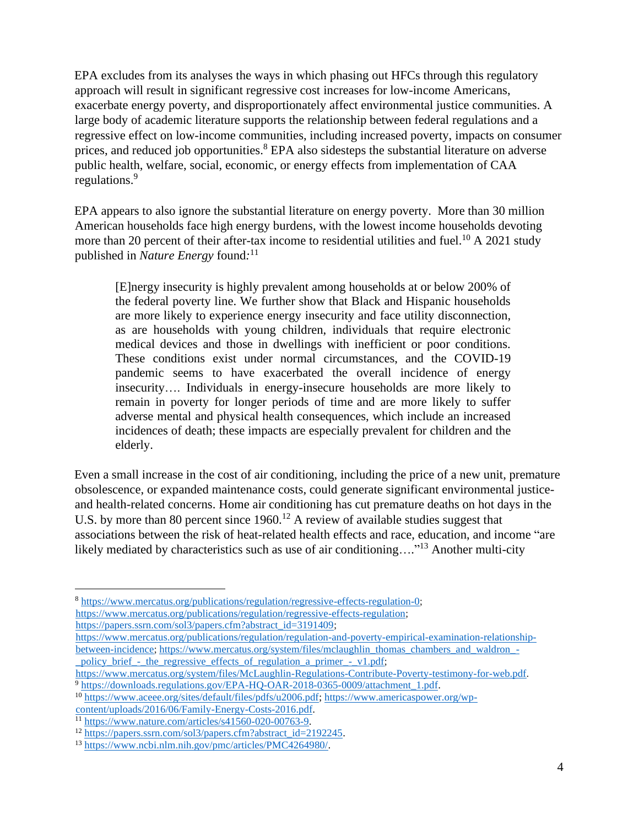EPA excludes from its analyses the ways in which phasing out HFCs through this regulatory approach will result in significant regressive cost increases for low-income Americans, exacerbate energy poverty, and disproportionately affect environmental justice communities. A large body of academic literature supports the relationship between federal regulations and a regressive effect on low-income communities, including increased poverty, impacts on consumer prices, and reduced job opportunities.<sup>8</sup> EPA also sidesteps the substantial literature on adverse public health, welfare, social, economic, or energy effects from implementation of CAA regulations.<sup>9</sup>

EPA appears to also ignore the substantial literature on energy poverty. More than 30 million American households face high energy burdens, with the lowest income households devoting more than 20 percent of their after-tax income to residential utilities and fuel.<sup>10</sup> A 2021 study published in *Nature Energy* found*:* 11

[E]nergy insecurity is highly prevalent among households at or below 200% of the federal poverty line. We further show that Black and Hispanic households are more likely to experience energy insecurity and face utility disconnection, as are households with young children, individuals that require electronic medical devices and those in dwellings with inefficient or poor conditions. These conditions exist under normal circumstances, and the COVID-19 pandemic seems to have exacerbated the overall incidence of energy insecurity…. Individuals in energy-insecure households are more likely to remain in poverty for longer periods of time and are more likely to suffer adverse mental and physical health consequences, which include an increased incidences of death; these impacts are especially prevalent for children and the elderly.

Even a small increase in the cost of air conditioning, including the price of a new unit, premature obsolescence, or expanded maintenance costs, could generate significant environmental justiceand health-related concerns. Home air conditioning has cut premature deaths on hot days in the U.S. by more than 80 percent since  $1960$ .<sup>12</sup> A review of available studies suggest that associations between the risk of heat-related health effects and race, education, and income "are likely mediated by characteristics such as use of air conditioning...."<sup>13</sup> Another multi-city

<sup>8</sup> [https://www.mercatus.org/publications/regulation/regressive-effects-regulation-0;](https://www.mercatus.org/publications/regulation/regressive-effects-regulation-0) [https://www.mercatus.org/publications/regulation/regressive-effects-regulation;](https://www.mercatus.org/publications/regulation/regressive-effects-regulation) [https://papers.ssrn.com/sol3/papers.cfm?abstract\\_id=3191409;](https://papers.ssrn.com/sol3/papers.cfm?abstract_id=3191409)

[https://www.mercatus.org/publications/regulation/regulation-and-poverty-empirical-examination-relationship](https://www.mercatus.org/publications/regulation/regulation-and-poverty-empirical-examination-relationship-between-incidence)[between-incidence;](https://www.mercatus.org/publications/regulation/regulation-and-poverty-empirical-examination-relationship-between-incidence) [https://www.mercatus.org/system/files/mclaughlin\\_thomas\\_chambers\\_and\\_waldron\\_](https://www.mercatus.org/system/files/mclaughlin_thomas_chambers_and_waldron_-_policy_brief_-_the_regressive_effects_of_regulation_a_primer_-_v1.pdf) policy brief - the regressive effects of regulation a primer - v1.pdf;

[https://www.mercatus.org/system/files/McLaughlin-Regulations-Contribute-Poverty-testimony-for-web.pdf.](https://www.mercatus.org/system/files/McLaughlin-Regulations-Contribute-Poverty-testimony-for-web.pdf) <sup>9</sup> [https://downloads.regulations.gov/EPA-HQ-OAR-2018-0365-0009/attachment\\_1.pdf.](https://downloads.regulations.gov/EPA-HQ-OAR-2018-0365-0009/attachment_1.pdf)

<sup>10</sup> [https://www.aceee.org/sites/default/files/pdfs/u2006.pdf;](https://www.aceee.org/sites/default/files/pdfs/u2006.pdf) [https://www.americaspower.org/wp](https://www.americaspower.org/wp-content/uploads/2016/06/Family-Energy-Costs-2016.pdf)[content/uploads/2016/06/Family-Energy-Costs-2016.pdf.](https://www.americaspower.org/wp-content/uploads/2016/06/Family-Energy-Costs-2016.pdf)

<sup>11</sup> [https://www.nature.com/articles/s41560-020-00763-9.](https://www.nature.com/articles/s41560-020-00763-9)

<sup>&</sup>lt;sup>12</sup> [https://papers.ssrn.com/sol3/papers.cfm?abstract\\_id=2192245.](https://papers.ssrn.com/sol3/papers.cfm?abstract_id=2192245)

<sup>13</sup> [https://www.ncbi.nlm.nih.gov/pmc/articles/PMC4264980/.](https://www.ncbi.nlm.nih.gov/pmc/articles/PMC4264980/)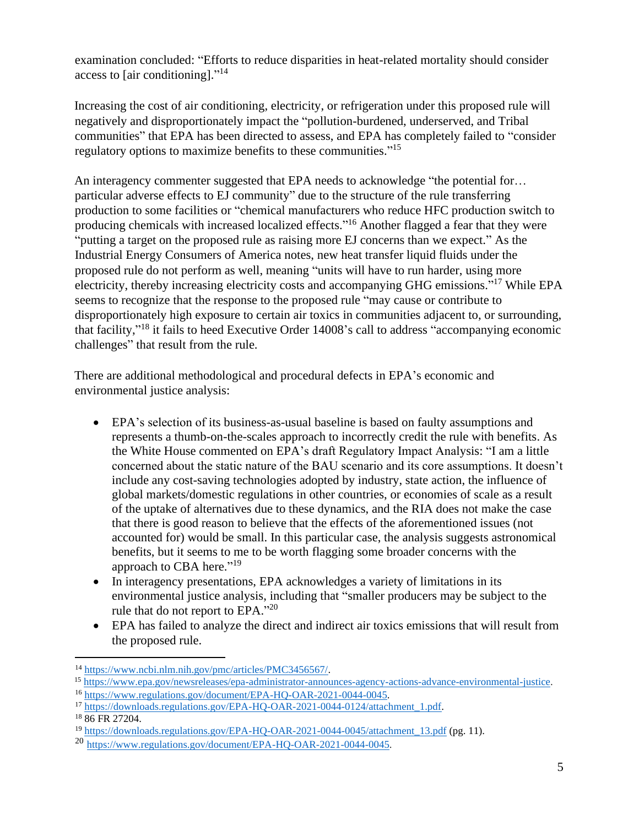examination concluded: "Efforts to reduce disparities in heat-related mortality should consider access to [air conditioning]."<sup>14</sup>

Increasing the cost of air conditioning, electricity, or refrigeration under this proposed rule will negatively and disproportionately impact the "pollution-burdened, underserved, and Tribal communities" that EPA has been directed to assess, and EPA has completely failed to "consider regulatory options to maximize benefits to these communities." 15

An interagency commenter suggested that EPA needs to acknowledge "the potential for… particular adverse effects to EJ community" due to the structure of the rule transferring production to some facilities or "chemical manufacturers who reduce HFC production switch to producing chemicals with increased localized effects."<sup>16</sup> Another flagged a fear that they were "putting a target on the proposed rule as raising more EJ concerns than we expect." As the Industrial Energy Consumers of America notes, new heat transfer liquid fluids under the proposed rule do not perform as well, meaning "units will have to run harder, using more electricity, thereby increasing electricity costs and accompanying GHG emissions."<sup>17</sup> While EPA seems to recognize that the response to the proposed rule "may cause or contribute to disproportionately high exposure to certain air toxics in communities adjacent to, or surrounding, that facility,"<sup>18</sup> it fails to heed Executive Order 14008's call to address "accompanying economic challenges" that result from the rule.

There are additional methodological and procedural defects in EPA's economic and environmental justice analysis:

- EPA's selection of its business-as-usual baseline is based on faulty assumptions and represents a thumb-on-the-scales approach to incorrectly credit the rule with benefits. As the White House commented on EPA's draft Regulatory Impact Analysis: "I am a little concerned about the static nature of the BAU scenario and its core assumptions. It doesn't include any cost-saving technologies adopted by industry, state action, the influence of global markets/domestic regulations in other countries, or economies of scale as a result of the uptake of alternatives due to these dynamics, and the RIA does not make the case that there is good reason to believe that the effects of the aforementioned issues (not accounted for) would be small. In this particular case, the analysis suggests astronomical benefits, but it seems to me to be worth flagging some broader concerns with the approach to CBA here."<sup>19</sup>
- In interagency presentations, EPA acknowledges a variety of limitations in its environmental justice analysis, including that "smaller producers may be subject to the rule that do not report to EPA."20
- EPA has failed to analyze the direct and indirect air toxics emissions that will result from the proposed rule.

<sup>14</sup> [https://www.ncbi.nlm.nih.gov/pmc/articles/PMC3456567/.](https://www.ncbi.nlm.nih.gov/pmc/articles/PMC3456567/) 

<sup>15</sup> [https://www.epa.gov/newsreleases/epa-administrator-announces-agency-actions-advance-environmental-justice.](https://www.epa.gov/newsreleases/epa-administrator-announces-agency-actions-advance-environmental-justice)

<sup>16</sup> [https://www.regulations.gov/document/EPA-HQ-OAR-2021-0044-0045.](https://www.regulations.gov/document/EPA-HQ-OAR-2021-0044-0045)

<sup>&</sup>lt;sup>17</sup> [https://downloads.regulations.gov/EPA-HQ-OAR-2021-0044-0124/attachment\\_1.pdf.](https://downloads.regulations.gov/EPA-HQ-OAR-2021-0044-0124/attachment_1.pdf)

<sup>&</sup>lt;sup>18</sup> 86 FR 27204.

<sup>&</sup>lt;sup>19</sup> [https://downloads.regulations.gov/EPA-HQ-OAR-2021-0044-0045/attachment\\_13.pdf](https://downloads.regulations.gov/EPA-HQ-OAR-2021-0044-0045/attachment_13.pdf) (pg. 11).

<sup>20</sup> [https://www.regulations.gov/document/EPA-HQ-OAR-2021-0044-0045.](https://www.regulations.gov/document/EPA-HQ-OAR-2021-0044-0045)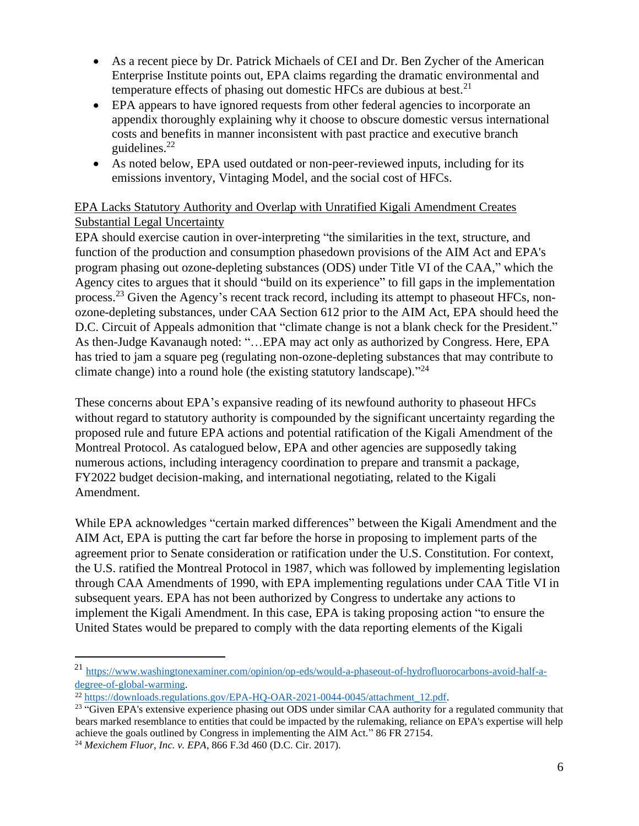- As a recent piece by Dr. Patrick Michaels of CEI and Dr. Ben Zycher of the American Enterprise Institute points out, EPA claims regarding the dramatic environmental and temperature effects of phasing out domestic HFCs are dubious at best.<sup>21</sup>
- EPA appears to have ignored requests from other federal agencies to incorporate an appendix thoroughly explaining why it choose to obscure domestic versus international costs and benefits in manner inconsistent with past practice and executive branch guidelines. 22
- As noted below, EPA used outdated or non-peer-reviewed inputs, including for its emissions inventory, Vintaging Model, and the social cost of HFCs.

## EPA Lacks Statutory Authority and Overlap with Unratified Kigali Amendment Creates Substantial Legal Uncertainty

EPA should exercise caution in over-interpreting "the similarities in the text, structure, and function of the production and consumption phasedown provisions of the AIM Act and EPA's program phasing out ozone-depleting substances (ODS) under Title VI of the CAA," which the Agency cites to argues that it should "build on its experience" to fill gaps in the implementation process.<sup>23</sup> Given the Agency's recent track record, including its attempt to phaseout HFCs, nonozone-depleting substances, under CAA Section 612 prior to the AIM Act, EPA should heed the D.C. Circuit of Appeals admonition that "climate change is not a blank check for the President." As then-Judge Kavanaugh noted: "…EPA may act only as authorized by Congress. Here, EPA has tried to jam a square peg (regulating non-ozone-depleting substances that may contribute to climate change) into a round hole (the existing statutory landscape)."<sup>24</sup>

These concerns about EPA's expansive reading of its newfound authority to phaseout HFCs without regard to statutory authority is compounded by the significant uncertainty regarding the proposed rule and future EPA actions and potential ratification of the Kigali Amendment of the Montreal Protocol. As catalogued below, EPA and other agencies are supposedly taking numerous actions, including interagency coordination to prepare and transmit a package, FY2022 budget decision-making, and international negotiating, related to the Kigali Amendment.

While EPA acknowledges "certain marked differences" between the Kigali Amendment and the AIM Act, EPA is putting the cart far before the horse in proposing to implement parts of the agreement prior to Senate consideration or ratification under the U.S. Constitution. For context, the U.S. ratified the Montreal Protocol in 1987, which was followed by implementing legislation through CAA Amendments of 1990, with EPA implementing regulations under CAA Title VI in subsequent years. EPA has not been authorized by Congress to undertake any actions to implement the Kigali Amendment. In this case, EPA is taking proposing action "to ensure the United States would be prepared to comply with the data reporting elements of the Kigali

<sup>21</sup> [https://www.washingtonexaminer.com/opinion/op-eds/would-a-phaseout-of-hydrofluorocarbons-avoid-half-a](https://www.washingtonexaminer.com/opinion/op-eds/would-a-phaseout-of-hydrofluorocarbons-avoid-half-a-degree-of-global-warming)[degree-of-global-warming.](https://www.washingtonexaminer.com/opinion/op-eds/would-a-phaseout-of-hydrofluorocarbons-avoid-half-a-degree-of-global-warming)

<sup>&</sup>lt;sup>22</sup> [https://downloads.regulations.gov/EPA-HQ-OAR-2021-0044-0045/attachment\\_12.pdf.](https://downloads.regulations.gov/EPA-HQ-OAR-2021-0044-0045/attachment_12.pdf)

<sup>&</sup>lt;sup>23</sup> "Given EPA's extensive experience phasing out ODS under similar CAA authority for a regulated community that bears marked resemblance to entities that could be impacted by the rulemaking, reliance on EPA's expertise will help achieve the goals outlined by Congress in implementing the AIM Act." 86 FR 27154.

<sup>24</sup> *Mexichem Fluor, Inc. v. EPA*, 866 F.3d 460 (D.C. Cir. 2017).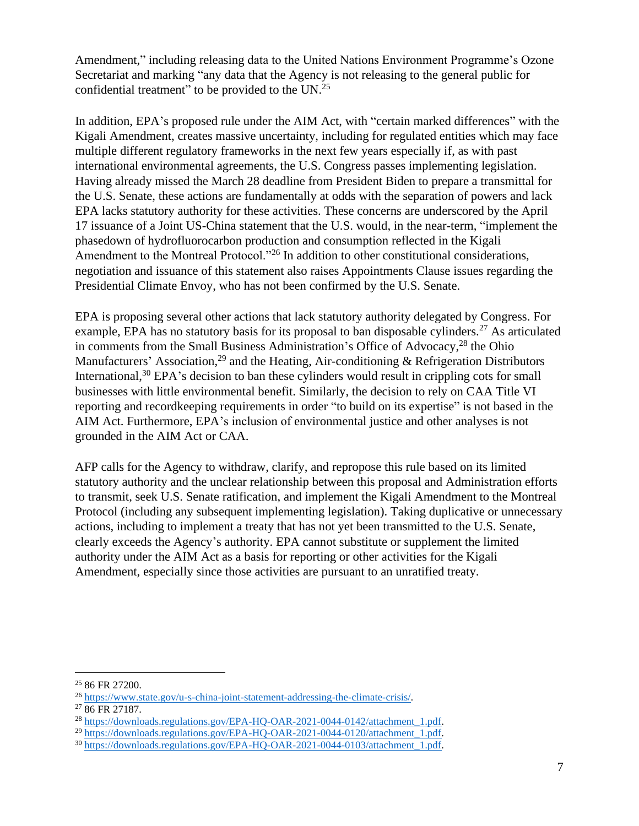Amendment," including releasing data to the United Nations Environment Programme's Ozone Secretariat and marking "any data that the Agency is not releasing to the general public for confidential treatment" to be provided to the  $UN.^{25}$ 

In addition, EPA's proposed rule under the AIM Act, with "certain marked differences" with the Kigali Amendment, creates massive uncertainty, including for regulated entities which may face multiple different regulatory frameworks in the next few years especially if, as with past international environmental agreements, the U.S. Congress passes implementing legislation. Having already missed the March 28 deadline from President Biden to prepare a transmittal for the U.S. Senate, these actions are fundamentally at odds with the separation of powers and lack EPA lacks statutory authority for these activities. These concerns are underscored by the April 17 issuance of a Joint US-China statement that the U.S. would, in the near-term, "implement the phasedown of hydrofluorocarbon production and consumption reflected in the Kigali Amendment to the Montreal Protocol."<sup>26</sup> In addition to other constitutional considerations, negotiation and issuance of this statement also raises Appointments Clause issues regarding the Presidential Climate Envoy, who has not been confirmed by the U.S. Senate.

EPA is proposing several other actions that lack statutory authority delegated by Congress. For example, EPA has no statutory basis for its proposal to ban disposable cylinders.<sup>27</sup> As articulated in comments from the Small Business Administration's Office of Advocacy,<sup>28</sup> the Ohio Manufacturers' Association,<sup>29</sup> and the Heating, Air-conditioning & Refrigeration Distributors International,  $30$  EPA's decision to ban these cylinders would result in crippling cots for small businesses with little environmental benefit. Similarly, the decision to rely on CAA Title VI reporting and recordkeeping requirements in order "to build on its expertise" is not based in the AIM Act. Furthermore, EPA's inclusion of environmental justice and other analyses is not grounded in the AIM Act or CAA.

AFP calls for the Agency to withdraw, clarify, and repropose this rule based on its limited statutory authority and the unclear relationship between this proposal and Administration efforts to transmit, seek U.S. Senate ratification, and implement the Kigali Amendment to the Montreal Protocol (including any subsequent implementing legislation). Taking duplicative or unnecessary actions, including to implement a treaty that has not yet been transmitted to the U.S. Senate, clearly exceeds the Agency's authority. EPA cannot substitute or supplement the limited authority under the AIM Act as a basis for reporting or other activities for the Kigali Amendment, especially since those activities are pursuant to an unratified treaty.

<sup>25</sup> 86 FR 27200.

<sup>26</sup> [https://www.state.gov/u-s-china-joint-statement-addressing-the-climate-crisis/.](https://www.state.gov/u-s-china-joint-statement-addressing-the-climate-crisis/)

<sup>27</sup> 86 FR 27187.

<sup>&</sup>lt;sup>28</sup> [https://downloads.regulations.gov/EPA-HQ-OAR-2021-0044-0142/attachment\\_1.pdf.](https://downloads.regulations.gov/EPA-HQ-OAR-2021-0044-0142/attachment_1.pdf)

<sup>&</sup>lt;sup>29</sup> [https://downloads.regulations.gov/EPA-HQ-OAR-2021-0044-0120/attachment\\_1.pdf.](https://downloads.regulations.gov/EPA-HQ-OAR-2021-0044-0120/attachment_1.pdf)

<sup>30</sup> [https://downloads.regulations.gov/EPA-HQ-OAR-2021-0044-0103/attachment\\_1.pdf.](https://downloads.regulations.gov/EPA-HQ-OAR-2021-0044-0103/attachment_1.pdf)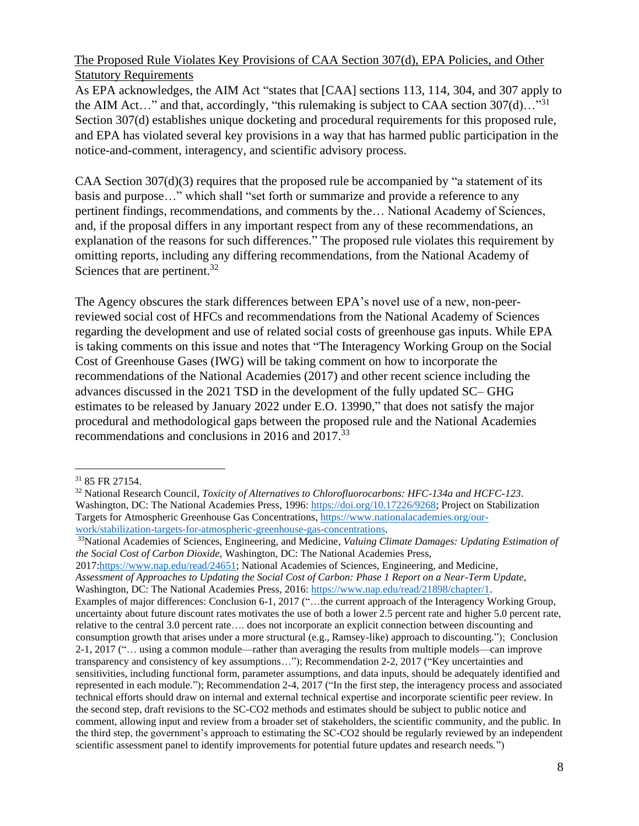## The Proposed Rule Violates Key Provisions of CAA Section 307(d), EPA Policies, and Other Statutory Requirements

As EPA acknowledges, the AIM Act "states that [CAA] sections 113, 114, 304, and 307 apply to the AIM Act..." and that, accordingly, "this rulemaking is subject to CAA section  $307(d)$ ..."<sup>31</sup> Section 307(d) establishes unique docketing and procedural requirements for this proposed rule, and EPA has violated several key provisions in a way that has harmed public participation in the notice-and-comment, interagency, and scientific advisory process.

CAA Section  $307(d)(3)$  requires that the proposed rule be accompanied by "a statement of its basis and purpose…" which shall "set forth or summarize and provide a reference to any pertinent findings, recommendations, and comments by the… National Academy of Sciences, and, if the proposal differs in any important respect from any of these recommendations, an explanation of the reasons for such differences." The proposed rule violates this requirement by omitting reports, including any differing recommendations, from the National Academy of Sciences that are pertinent.<sup>32</sup>

The Agency obscures the stark differences between EPA's novel use of a new, non-peerreviewed social cost of HFCs and recommendations from the National Academy of Sciences regarding the development and use of related social costs of greenhouse gas inputs. While EPA is taking comments on this issue and notes that "The Interagency Working Group on the Social Cost of Greenhouse Gases (IWG) will be taking comment on how to incorporate the recommendations of the National Academies (2017) and other recent science including the advances discussed in the 2021 TSD in the development of the fully updated SC– GHG estimates to be released by January 2022 under E.O. 13990," that does not satisfy the major procedural and methodological gaps between the proposed rule and the National Academies recommendations and conclusions in 2016 and 2017.<sup>33</sup>

<sup>33</sup>National Academies of Sciences, Engineering, and Medicine, *Valuing Climate Damages: Updating Estimation of the Social Cost of Carbon Dioxide*, Washington, DC: The National Academies Press, 2017[:https://www.nap.edu/read/24651;](https://www.nap.edu/read/24651) National Academies of Sciences, Engineering, and Medicine, *Assessment of Approaches to Updating the Social Cost of Carbon: Phase 1 Report on a Near-Term Update*, Washington, DC: The National Academies Press, 2016: [https://www.nap.edu/read/21898/chapter/1.](https://www.nap.edu/read/21898/chapter/1) Examples of major differences: Conclusion 6-1, 2017 ("…the current approach of the Interagency Working Group, uncertainty about future discount rates motivates the use of both a lower 2.5 percent rate and higher 5.0 percent rate, relative to the central 3.0 percent rate…. does not incorporate an explicit connection between discounting and consumption growth that arises under a more structural (e.g., Ramsey-like) approach to discounting."); Conclusion 2-1, 2017 ("… using a common module—rather than averaging the results from multiple models—can improve transparency and consistency of key assumptions…"); Recommendation 2-2, 2017 ("Key uncertainties and sensitivities, including functional form, parameter assumptions, and data inputs, should be adequately identified and represented in each module."); Recommendation 2-4, 2017 ("In the first step, the interagency process and associated technical efforts should draw on internal and external technical expertise and incorporate scientific peer review. In the second step, draft revisions to the SC-CO2 methods and estimates should be subject to public notice and comment, allowing input and review from a broader set of stakeholders, the scientific community, and the public. In the third step, the government's approach to estimating the SC-CO2 should be regularly reviewed by an independent scientific assessment panel to identify improvements for potential future updates and research needs.")

<sup>31</sup> 85 FR 27154.

<sup>32</sup> National Research Council, *Toxicity of Alternatives to Chlorofluorocarbons: HFC-134a and HCFC-123*. Washington, DC: The National Academies Press, 1996: [https://doi.org/10.17226/9268;](https://doi.org/10.17226/9268) Project on Stabilization Targets for Atmospheric Greenhouse Gas Concentrations, [https://www.nationalacademies.org/our](https://www.nationalacademies.org/our-work/stabilization-targets-for-atmospheric-greenhouse-gas-concentrations)[work/stabilization-targets-for-atmospheric-greenhouse-gas-concentrations.](https://www.nationalacademies.org/our-work/stabilization-targets-for-atmospheric-greenhouse-gas-concentrations)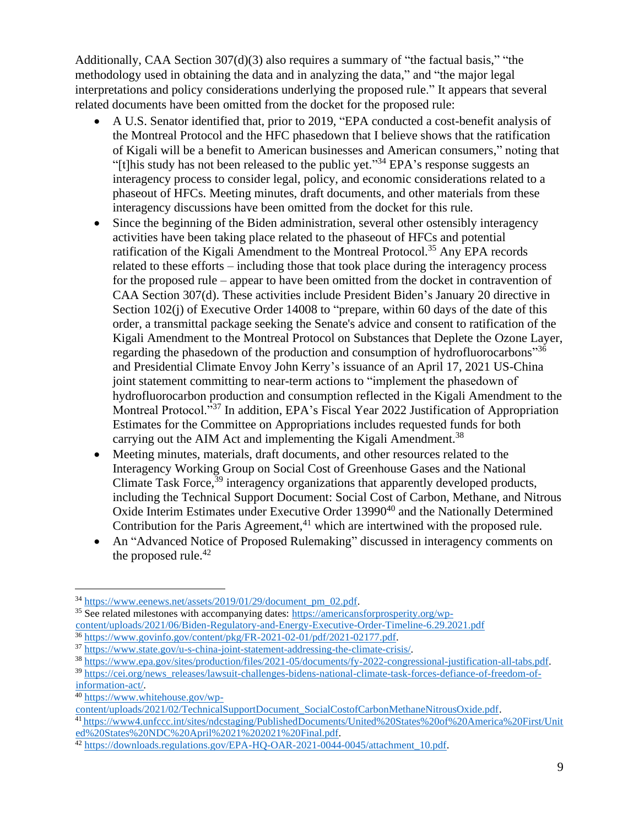Additionally, CAA Section 307(d)(3) also requires a summary of "the factual basis," "the methodology used in obtaining the data and in analyzing the data," and "the major legal interpretations and policy considerations underlying the proposed rule." It appears that several related documents have been omitted from the docket for the proposed rule:

- A U.S. Senator identified that, prior to 2019, "EPA conducted a cost-benefit analysis of the Montreal Protocol and the HFC phasedown that I believe shows that the ratification of Kigali will be a benefit to American businesses and American consumers," noting that "[t]his study has not been released to the public yet."<sup>34</sup> EPA's response suggests an interagency process to consider legal, policy, and economic considerations related to a phaseout of HFCs. Meeting minutes, draft documents, and other materials from these interagency discussions have been omitted from the docket for this rule.
- Since the beginning of the Biden administration, several other ostensibly interagency activities have been taking place related to the phaseout of HFCs and potential ratification of the Kigali Amendment to the Montreal Protocol.<sup>35</sup> Any EPA records related to these efforts – including those that took place during the interagency process for the proposed rule – appear to have been omitted from the docket in contravention of CAA Section 307(d). These activities include President Biden's January 20 directive in Section 102(j) of Executive Order 14008 to "prepare, within 60 days of the date of this order, a transmittal package seeking the Senate's advice and consent to ratification of the Kigali Amendment to the Montreal Protocol on Substances that Deplete the Ozone Layer, regarding the phasedown of the production and consumption of hydrofluorocarbons"<sup>36</sup> and Presidential Climate Envoy John Kerry's issuance of an April 17, 2021 US-China joint statement committing to near-term actions to "implement the phasedown of hydrofluorocarbon production and consumption reflected in the Kigali Amendment to the Montreal Protocol."<sup>37</sup> In addition, EPA's Fiscal Year 2022 Justification of Appropriation Estimates for the Committee on Appropriations includes requested funds for both carrying out the AIM Act and implementing the Kigali Amendment.<sup>38</sup>
- Meeting minutes, materials, draft documents, and other resources related to the Interagency Working Group on Social Cost of Greenhouse Gases and the National Climate Task Force,<sup>39</sup> interagency organizations that apparently developed products, including the Technical Support Document: Social Cost of Carbon, Methane, and Nitrous Oxide Interim Estimates under Executive Order 13990<sup>40</sup> and the Nationally Determined Contribution for the Paris Agreement, $41$  which are intertwined with the proposed rule.
- An "Advanced Notice of Proposed Rulemaking" discussed in interagency comments on the proposed rule.<sup>42</sup>

<sup>34</sup> [https://www.eenews.net/assets/2019/01/29/document\\_pm\\_02.pdf.](https://www.eenews.net/assets/2019/01/29/document_pm_02.pdf)

<sup>35</sup> See related milestones with accompanying dates: [https://americansforprosperity.org/wp](https://americansforprosperity.org/wp-content/uploads/2021/06/Biden-Regulatory-and-Energy-Executive-Order-Timeline-6.29.2021.pdf)[content/uploads/2021/06/Biden-Regulatory-and-Energy-Executive-Order-Timeline-6.29.2021.pdf](https://americansforprosperity.org/wp-content/uploads/2021/06/Biden-Regulatory-and-Energy-Executive-Order-Timeline-6.29.2021.pdf) <sup>36</sup> [https://www.govinfo.gov/content/pkg/FR-2021-02-01/pdf/2021-02177.pdf.](https://www.govinfo.gov/content/pkg/FR-2021-02-01/pdf/2021-02177.pdf)

<sup>37</sup> [https://www.state.gov/u-s-china-joint-statement-addressing-the-climate-crisis/.](https://www.state.gov/u-s-china-joint-statement-addressing-the-climate-crisis/)

<sup>38</sup> [https://www.epa.gov/sites/production/files/2021-05/documents/fy-2022-congressional-justification-all-tabs.pdf.](https://www.epa.gov/sites/production/files/2021-05/documents/fy-2022-congressional-justification-all-tabs.pdf)

<sup>&</sup>lt;sup>39</sup> [https://cei.org/news\\_releases/lawsuit-challenges-bidens-national-climate-task-forces-defiance-of-freedom-of-](https://cei.org/news_releases/lawsuit-challenges-bidens-national-climate-task-forces-defiance-of-freedom-of-information-act/)

[information-act/.](https://cei.org/news_releases/lawsuit-challenges-bidens-national-climate-task-forces-defiance-of-freedom-of-information-act/)

<sup>40</sup> [https://www.whitehouse.gov/wp-](https://www.whitehouse.gov/wp-content/uploads/2021/02/TechnicalSupportDocument_SocialCostofCarbonMethaneNitrousOxide.pdf)

[content/uploads/2021/02/TechnicalSupportDocument\\_SocialCostofCarbonMethaneNitrousOxide.pdf.](https://www.whitehouse.gov/wp-content/uploads/2021/02/TechnicalSupportDocument_SocialCostofCarbonMethaneNitrousOxide.pdf)

<sup>41</sup> [https://www4.unfccc.int/sites/ndcstaging/PublishedDocuments/United%20States%20of%20America%20First/Unit](https://www4.unfccc.int/sites/ndcstaging/PublishedDocuments/United%20States%20of%20America%20First/United%20States%20NDC%20April%2021%202021%20Final.pdf) [ed%20States%20NDC%20April%2021%202021%20Final.pdf.](https://www4.unfccc.int/sites/ndcstaging/PublishedDocuments/United%20States%20of%20America%20First/United%20States%20NDC%20April%2021%202021%20Final.pdf)

<sup>&</sup>lt;sup>42</sup> [https://downloads.regulations.gov/EPA-HQ-OAR-2021-0044-0045/attachment\\_10.pdf.](https://downloads.regulations.gov/EPA-HQ-OAR-2021-0044-0045/attachment_10.pdf)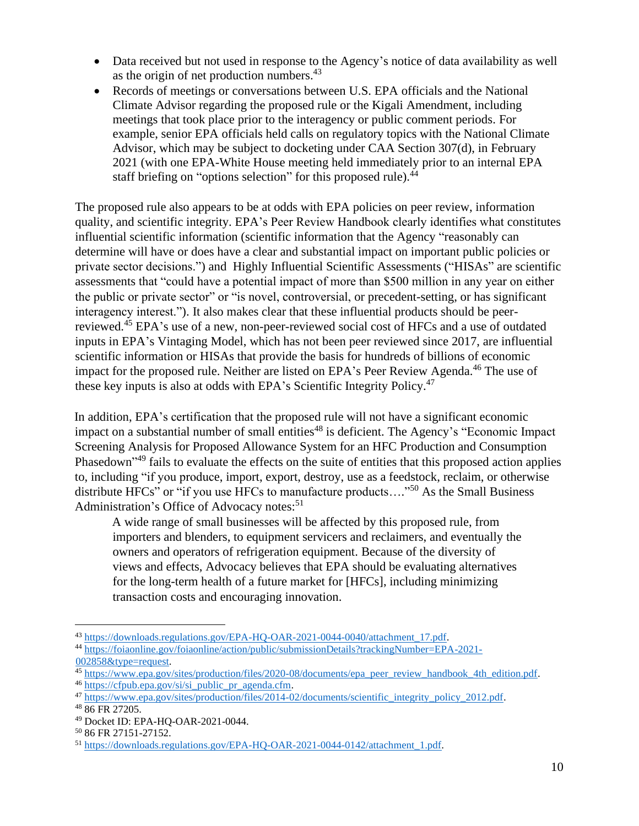- Data received but not used in response to the Agency's notice of data availability as well as the origin of net production numbers.<sup>43</sup>
- Records of meetings or conversations between U.S. EPA officials and the National Climate Advisor regarding the proposed rule or the Kigali Amendment, including meetings that took place prior to the interagency or public comment periods. For example, senior EPA officials held calls on regulatory topics with the National Climate Advisor, which may be subject to docketing under CAA Section 307(d), in February 2021 (with one EPA-White House meeting held immediately prior to an internal EPA staff briefing on "options selection" for this proposed rule).<sup>44</sup>

The proposed rule also appears to be at odds with EPA policies on peer review, information quality, and scientific integrity. EPA's Peer Review Handbook clearly identifies what constitutes influential scientific information (scientific information that the Agency "reasonably can determine will have or does have a clear and substantial impact on important public policies or private sector decisions.") and Highly Influential Scientific Assessments ("HISAs" are scientific assessments that "could have a potential impact of more than \$500 million in any year on either the public or private sector" or "is novel, controversial, or precedent-setting, or has significant interagency interest."). It also makes clear that these influential products should be peerreviewed.<sup>45</sup> EPA's use of a new, non-peer-reviewed social cost of HFCs and a use of outdated inputs in EPA's Vintaging Model, which has not been peer reviewed since 2017, are influential scientific information or HISAs that provide the basis for hundreds of billions of economic impact for the proposed rule. Neither are listed on EPA's Peer Review Agenda.<sup>46</sup> The use of these key inputs is also at odds with EPA's Scientific Integrity Policy.<sup>47</sup>

In addition, EPA's certification that the proposed rule will not have a significant economic impact on a substantial number of small entities<sup>48</sup> is deficient. The Agency's "Economic Impact Screening Analysis for Proposed Allowance System for an HFC Production and Consumption Phasedown<sup>"49</sup> fails to evaluate the effects on the suite of entities that this proposed action applies to, including "if you produce, import, export, destroy, use as a feedstock, reclaim, or otherwise distribute HFCs" or "if you use HFCs to manufacture products...."<sup>50</sup> As the Small Business Administration's Office of Advocacy notes:<sup>51</sup>

A wide range of small businesses will be affected by this proposed rule, from importers and blenders, to equipment servicers and reclaimers, and eventually the owners and operators of refrigeration equipment. Because of the diversity of views and effects, Advocacy believes that EPA should be evaluating alternatives for the long-term health of a future market for [HFCs], including minimizing transaction costs and encouraging innovation.

<sup>46</sup> https://cfpub.epa.gov/si/si<sup>public</sup> pr\_agenda.cfm.

<sup>43</sup> [https://downloads.regulations.gov/EPA-HQ-OAR-2021-0044-0040/attachment\\_17.pdf.](https://downloads.regulations.gov/EPA-HQ-OAR-2021-0044-0040/attachment_17.pdf)

<sup>44</sup> [https://foiaonline.gov/foiaonline/action/public/submissionDetails?trackingNumber=EPA-2021-](https://foiaonline.gov/foiaonline/action/public/submissionDetails?trackingNumber=EPA-2021-002858&type=request) [002858&type=request.](https://foiaonline.gov/foiaonline/action/public/submissionDetails?trackingNumber=EPA-2021-002858&type=request)

<sup>&</sup>lt;sup>45</sup> [https://www.epa.gov/sites/production/files/2020-08/documents/epa\\_peer\\_review\\_handbook\\_4th\\_edition.pdf.](https://www.epa.gov/sites/production/files/2020-08/documents/epa_peer_review_handbook_4th_edition.pdf)

<sup>47</sup> [https://www.epa.gov/sites/production/files/2014-02/documents/scientific\\_integrity\\_policy\\_2012.pdf.](https://www.epa.gov/sites/production/files/2014-02/documents/scientific_integrity_policy_2012.pdf)

<sup>48</sup> 86 FR 27205.

<sup>49</sup> Docket ID: EPA-HQ-OAR-2021-0044.

<sup>50</sup> 86 FR 27151-27152.

<sup>51</sup> [https://downloads.regulations.gov/EPA-HQ-OAR-2021-0044-0142/attachment\\_1.pdf.](https://downloads.regulations.gov/EPA-HQ-OAR-2021-0044-0142/attachment_1.pdf)